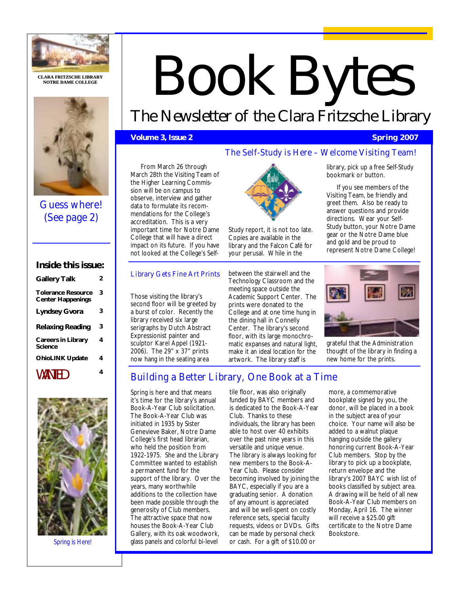

**CLARA FRITZSCHE LIBR CLARA LIBRARY NOTRE DAME COLLEGE** 



Guess where! (See page 2)

# **Inside this issue:**

| <b>Gallery Talk</b>                                   | 2 |
|-------------------------------------------------------|---|
| <b>Tolerance Resource</b><br><b>Center Happenings</b> | 3 |
| <b>Lyndsey Gvora</b>                                  | 3 |
| <b>Relaxing Reading</b>                               | 3 |
| <b>Careers in Library</b><br>Science                  | 4 |
| <b>OhioLINK Update</b>                                | 4 |
| WANTED                                                | 4 |



*Spring is Here!* 

# Book Bytes

# The Newsletter of the Clara Fritzsche Library

# **Volume 3, Issue 2** Spring 2007 **Columbia 2007**

# The Self-Study is Here – Welcome Visiting Team!

From March 26 through March 28th the Visiting Team of the Higher Learning Commission will be on campus to observe, interview and gather data to formulate its recommendations for the College's accreditation. This is a very important time for Notre Dame College that will have a direct impact on its future. If you have not looked at the College's Self-

# Library Gets Fine Art Prints

Those visiting the library's second floor will be greeted by a burst of color. Recently the library received six large serigraphs by Dutch Abstract Expressionist painter and sculptor Karel Appel (1921- 2006). The 29" x 37" prints now hang in the seating area



Study report, it is not too late. Copies are available in the library and the Falcon Café for your perusal. While in the

between the stairwell and the Technology Classroom and the meeting space outside the Academic Support Center. The prints were donated to the College and at one time hung in the dining hall in Connelly Center. The library's second floor, with its large monochromatic expanses and natural light, make it an ideal location for the artwork. The library staff is

library, pick up a free Self-Study bookmark or button.

If you see members of the Visiting Team, be friendly and greet them. Also be ready to answer questions and provide directions. Wear your Self-Study button, your Notre Dame gear or the Notre Dame blue and gold and be proud to represent Notre Dame College!



grateful that the Administration thought of the library in finding a new home for the prints.

# Building a Better Library, One Book at a Time

Spring is here and that means it's time for the library's annual Book-A-Year Club solicitation. The Book-A-Year Club was initiated in 1935 by Sister Genevieve Baker, Notre Dame College's first head librarian, who held the position from 1922-1975. She and the Library Committee wanted to establish a permanent fund for the support of the library. Over the years, many worthwhile additions to the collection have been made possible through the generosity of Club members. The attractive space that now houses the Book-A-Year Club Gallery, with its oak woodwork, glass panels and colorful bi-level

tile floor, was also originally funded by BAYC members and is dedicated to the Book-A-Year Club. Thanks to these individuals, the library has been able to host over 40 exhibits over the past nine years in this versatile and unique venue. The library is always looking for new members to the Book-A-Year Club. Please consider becoming involved by joining the BAYC, especially if you are a graduating senior. A donation of any amount is appreciated and will be well-spent on costly reference sets, special faculty requests, videos or DVDs. Gifts can be made by personal check or cash. For a gift of \$10.00 or

more, a commemorative bookplate signed by you, the donor, will be placed in a book in the subject area of your choice. Your name will also be added to a walnut plaque hanging outside the gallery honoring current Book-A-Year Club members. Stop by the library to pick up a bookplate, return envelope and the library's 2007 BAYC wish list of books classified by subject area. A drawing will be held of all new Book-A-Year Club members on Monday, April 16. The winner will receive a \$25.00 gift certificate to the Notre Dame Bookstore.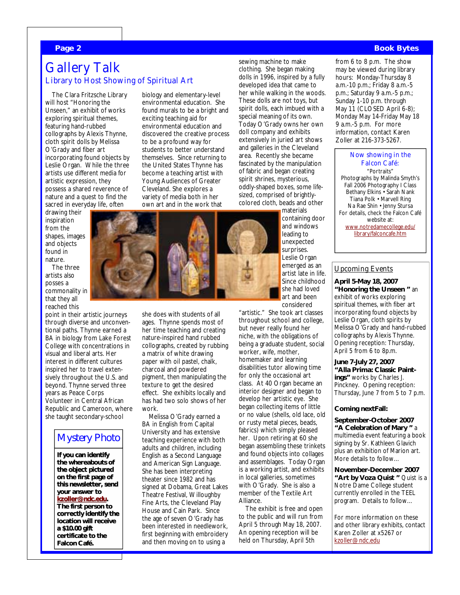## **Page 2 Book Bytes**

# Gallery Talk Library to Host Showing of Spiritual Art

The Clara Fritzsche Library will host "Honoring the Unseen," an exhibit of works exploring spiritual themes, featuring hand-rubbed collographs by Alexis Thynne, cloth spirit dolls by Melissa O'Grady and fiber art incorporating found objects by Leslie Organ. While the three artists use different media for artistic expression, they possess a shared reverence of nature and a quest to find the sacred in everyday life, often

drawing their inspiration from the shapes, images and objects found in nature.

The three artists also posses a commonality in that they all reached this

point in their artistic journeys through diverse and unconventional paths. Thynne earned a BA in biology from Lake Forest College with concentrations in visual and liberal arts. Her interest in different cultures inspired her to travel extensively throughout the U.S. and beyond. Thynne served three years as Peace Corps Volunteer in Central African Republic and Cameroon, where she taught secondary-school

# Mystery Photo

**If you can identify** the whereabouts of **the object pictured the object pictured on the first page of this newsletter, send this newsletter, send your answer to answer to kzoller@ndc.edu kzoller@ndc.edukzoller@ndc.edu. The first person to person to The first person to correctly identify the correctly identify the identify location will receive a \$10.00 gift a \$10.00 gift \$10.00 gift**  certificate to the **Falcon Café.** 

biology and elementary-level environmental education. She found murals to be a bright and exciting teaching aid for environmental education and discovered the creative process to be a profound way for students to better understand themselves. Since returning to the United States Thynne has become a teaching artist with Young Audiences of Greater Cleveland. She explores a variety of media both in her

sewing machine to make clothing. She began making dolls in 1996, inspired by a fully developed idea that came to her while walking in the woods. These dolls are not toys, but spirit dolls, each imbued with a special meaning of its own. Today O'Grady owns her own doll company and exhibits extensively in juried art shows and galleries in the Cleveland area. Recently she became fascinated by the manipulation of fabric and began creating spirit shrines, mysterious, oddly-shaped boxes, some lifesized, comprised of brightlycolored cloth, beads and other



"artistic." She took art classes throughout school and college, but never really found her niche, with the obligations of being a graduate student, social worker, wife, mother, homemaker and learning disabilities tutor allowing time for only the occasional art class. At 40 Organ became an interior designer and began to develop her artistic eye. She began collecting items of little or no value (shells, old lace, old or rusty metal pieces, beads, fabrics) which simply pleased her. Upon retiring at 60 she began assembling these trinkets and found objects into collages and assemblages. Today Organ is a working artist, and exhibits in local galleries, sometimes with O'Grady. She is also a member of the Textile Art Alliance.

The exhibit is free and open to the public and will run from April 5 through May 18, 2007. An opening reception will be held on Thursday, April 5th

from 6 to 8 p.m. The show may be viewed during library hours: Monday-Thursday 8 a.m.-10 p.m.; Friday 8 a.m.-5 p.m.; Saturday 9 a.m.-5 p.m.; Sunday 1-10 p.m. through May 11 (CLOSED April 6-8); Monday May 14-Friday May 18 9 a.m.-5 p.m. For more information, contact Karen Zoller at 216-373-5267.

# Now showing in the Falcon Café:

"Portraits" Photographs by Malinda Smyth's Fall 2006 Photography I Class Bethany Elkins • Sarah Nank Tiana Polk • Marvell Ring Na Rae Shin • Jenny Stursa For details, check the Falcon Café website at: www.notredamecollege.edu/ library/falconcafe.htm

# Upcoming Events

**April 5-May 18, 2007 "Honoring the Unseen "** an exhibit of works exploring spiritual themes, with fiber art incorporating found objects by Leslie Organ, cloth spirits by Melissa O'Grady and hand-rubbed collographs by Alexis Thynne. Opening reception: Thursday, April 5 from 6 to 8p.m.

**June 7-July 27, 2007 "Alla Prima: Classic Paintings"** works by Charles J. Pinckney. Opening reception: Thursday, June 7 from 5 to 7 p.m.

## **Coming nextFall:**

**September-October 2007 "A Celebration of Mary "** a multimedia event featuring a book signing by Sr. Kathleen Glavich plus an exhibition of Marion art. More details to follow…

**November-December 2007 "Art by Voza Quist "** Quist is a Notre Dame College student currently enrolled in the TEEL program. Details to follow…

For more information on these and other library exhibits, contact Karen Zoller at x5267 or kzoller@ndc.edu



ages. Thynne spends most of her time teaching and creating nature-inspired hand rubbed collographs, created by rubbing a matrix of white drawing paper with oil pastel, chalk, charcoal and powdered pigment, then manipulating the texture to get the desired effect. She exhibits locally and has had two solo shows of her work.

she does with students of all

Melissa O'Grady earned a BA in English from Capital University and has extensive teaching experience with both adults and children, including English as a Second Language and American Sign Language. She has been interpreting theater since 1982 and has signed at Dobama, Great Lakes Theatre Festival, Willoughby Fine Arts, the Cleveland Play House and Cain Park. Since the age of seven O'Grady has been interested in needlework, first beginning with embroidery and then moving on to using a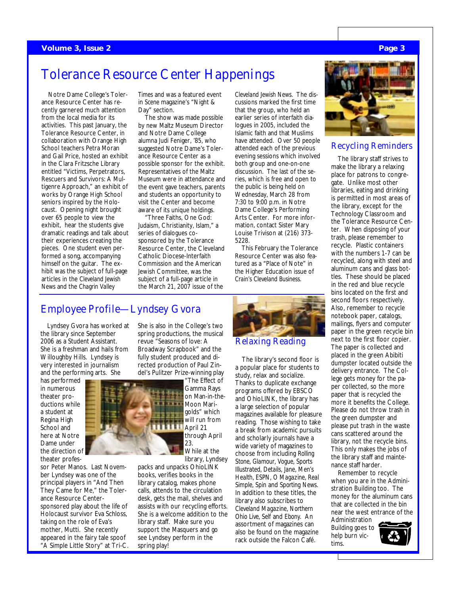## **Volume 3, Issue 2 Page 3 Apple 2** Page 3 Apple 2 Page 3 Apple 2 Page 3 Page 3 Page 3 Page 3 Page 3 Page 3 Page 3

# Tolerance Resource Center Happenings

Notre Dame College's Tolerance Resource Center has recently garnered much attention from the local media for its activities. This past January, the Tolerance Resource Center, in collaboration with Orange High School teachers Petra Moran and Gail Price, hosted an exhibit in the Clara Fritzsche Library entitled "Victims, Perpetrators, Rescuers and Survivors: A Multigenre Approach," an exhibit of works by Orange High School seniors inspired by the Holocaust. Opening night brought over 65 people to view the exhibit, hear the students give dramatic readings and talk about their experiences creating the pieces. One student even performed a song, accompanying himself on the guitar. The exhibit was the subject of full-page articles in the *Cleveland Jewish News* and the *Chagrin Valley* 

*Times* and was a featured event in *Scene* magazine's "Night & Day" section.

The show was made possible by new Maltz Museum Director and Notre Dame College alumna Judi Feniger, '85, who suggested Notre Dame's Tolerance Resource Center as a possible sponsor for the exhibit. Representatives of the Maltz Museum were in attendance and the event gave teachers, parents and students an opportunity to visit the Center and become aware of its unique holdings.

"Three Faiths, One God: Judaism, Christianity, Islam," a series of dialogues cosponsored by the Tolerance Resource Center, the Cleveland Catholic Diocese-Interfaith Commission and the American Jewish Committee, was the subject of a full-page article in the March 21, 2007 issue of the

She is also in the College's two spring productions, the musical revue "Seasons of love: A Broadway Scrapbook" and the fully student produced and di*Cleveland Jewish News.* The discussions marked the first time that the group, who held an earlier series of interfaith dialogues in 2005, included the Islamic faith and that Muslims have attended. Over 50 people attended each of the previous evening sessions which involved both group and one-on-one discussion. The last of the series, which is free and open to the public is being held on Wednesday, March 28 from 7:30 to 9:00 p.m. in Notre Dame College's Performing Arts Center. For more information, contact Sister Mary Louise Trivison at (216) 373- 5228.

This February the Tolerance Resource Center was also featured as a "Place of Note" in the Higher Education issue of *Crain's Cleveland Business.*

## Relaxing Reading

The library's second floor is a popular place for students to study, relax and socialize. Thanks to duplicate exchange programs offered by EBSCO and OhioLINK, the library has a large selection of popular magazines available for pleasure reading. Those wishing to take a break from academic pursuits and scholarly journals have a wide variety of magazines to choose from including *Rolling Stone, Glamour, Vogue, Sports Illustrated, Details, Jane, Men's Health, ESPN, O Magazine, Real Simple, Spin* and *Sporting News.* In addition to these titles, the library also subscribes to *Cleveland Magazine, Northern Ohio Live, Self* and *Ebony.* An assortment of magazines can also be found on the magazine rack outside the Falcon Café.



# Recycling Reminders

The library staff strives to make the library a relaxing place for patrons to congregate. Unlike most other libraries, eating and drinking is permitted in most areas of the library, except for the Technology Classroom and the Tolerance Resource Center. When disposing of your trash, please remember to recycle. Plastic containers with the numbers 1-7 can be recycled, along with steel and aluminum cans and glass bottles. These should be placed in the red and blue recycle bins located on the first and second floors respectively. Also, remember to recycle notebook paper, catalogs, mailings, flyers and computer paper in the green recycle bin next to the first floor copier. The paper is collected and placed in the green Abibiti dumpster located outside the delivery entrance. The College gets money for the paper collected, so the more paper that is recycled the more it benefits the College. Please do not throw trash in the green dumpster and please put trash in the waste cans scattered around the library, not the recycle bins. This only makes the jobs of the library staff and maintenance staff harder.

Remember to recycle when you are in the Administration Building too. The money for the aluminum cans that are collected in the bin near the west entrance of the Administration

Building goes to help burn victims.



# Employee Profile—Lyndsey Gvora

Lyndsey Gvora has worked at the library since September 2006 as a Student Assistant. She is a freshman and hails from Willoughby Hills. Lyndsey is very interested in journalism and the performing arts. She

has performed in numerous theater productions while a student at Regina High School and here at Notre Dame under the direction of theater profes-

sor Peter Manos. Last November Lyndsey was one of the principal players in "And Then They Came for Me," the Tolerance Resource Centersponsored play about the life of Holocaust survivor Eva Schloss, taking on the role of Eva's mother, Mutti. She recently appeared in the fairy tale spoof "A Simple Little Story" at Tri-C.



rected production of Paul Zindel's Pulitzer Prize-winning play "The Effect of Gamma Rays on Man-in-the-Moon Marigolds" which will run from

April 21 through April 23.

While at the library, Lyndsey packs and unpacks OhioLINK books, verifies books in the library catalog, makes phone calls, attends to the circulation desk, gets the mail, shelves and assists with our recycling efforts. She is a welcome addition to the library staff. Make sure you support the Masquers and go see Lyndsey perform in the spring play!